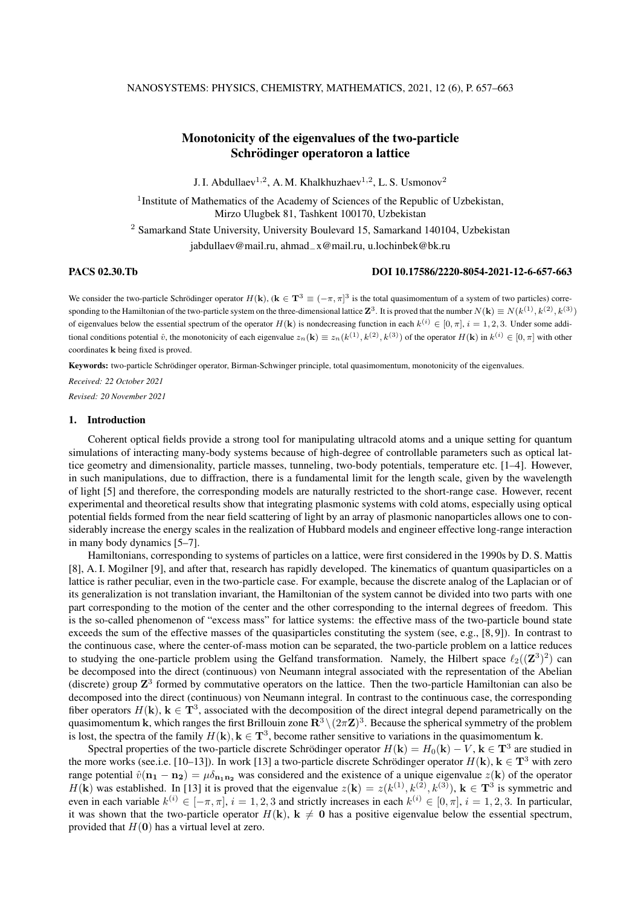# Monotonicity of the eigenvalues of the two-particle Schrödinger operatoron a lattice

J. I. Abdullaev<sup>1,2</sup>, A. M. Khalkhuzhaev<sup>1,2</sup>, L. S. Usmonov<sup>2</sup>

<sup>1</sup> Institute of Mathematics of the Academy of Sciences of the Republic of Uzbekistan, Mirzo Ulugbek 81, Tashkent 100170, Uzbekistan

<sup>2</sup> Samarkand State University, University Boulevard 15, Samarkand 140104, Uzbekistan jabdullaev@mail.ru, ahmad−x@mail.ru, u.lochinbek@bk.ru

### PACS 02.30.Tb DOI 10.17586/2220-8054-2021-12-6-657-663

We consider the two-particle Schrödinger operator  $H(\mathbf{k})$ ,  $(\mathbf{k} \in \mathbf{T}^3 \equiv (-\pi, \pi]^3$  is the total quasimomentum of a system of two particles) corresponding to the Hamiltonian of the two-particle system on the three-dimensional lattice  $\mathbf{Z}^3$ . It is proved that the number  $N(\mathbf{k}) \equiv N(k^{(1)}, k^{(2)}, k^{(3)})$ of eigenvalues below the essential spectrum of the operator  $H(\mathbf{k})$  is nondecreasing function in each  $k^{(i)} \in [0, \pi]$ ,  $i = 1, 2, 3$ . Under some additional conditions potential  $\hat{v}$ , the monotonicity of each eigenvalue  $z_n(\mathbf{k}) \equiv z_n(k^{(1)}, k^{(2)}, k^{(3)})$  of the operator  $H(\mathbf{k})$  in  $k^{(i)} \in [0, \pi]$  with other coordinates k being fixed is proved.

Keywords: two-particle Schrödinger operator, Birman-Schwinger principle, total quasimomentum, monotonicity of the eigenvalues.

*Received: 22 October 2021 Revised: 20 November 2021*

# 1. Introduction

Coherent optical fields provide a strong tool for manipulating ultracold atoms and a unique setting for quantum simulations of interacting many-body systems because of high-degree of controllable parameters such as optical lattice geometry and dimensionality, particle masses, tunneling, two-body potentials, temperature etc. [1–4]. However, in such manipulations, due to diffraction, there is a fundamental limit for the length scale, given by the wavelength of light [5] and therefore, the corresponding models are naturally restricted to the short-range case. However, recent experimental and theoretical results show that integrating plasmonic systems with cold atoms, especially using optical potential fields formed from the near field scattering of light by an array of plasmonic nanoparticles allows one to considerably increase the energy scales in the realization of Hubbard models and engineer effective long-range interaction in many body dynamics [5–7].

Hamiltonians, corresponding to systems of particles on a lattice, were first considered in the 1990s by D. S. Mattis [8], A. I. Mogilner [9], and after that, research has rapidly developed. The kinematics of quantum quasiparticles on a lattice is rather peculiar, even in the two-particle case. For example, because the discrete analog of the Laplacian or of its generalization is not translation invariant, the Hamiltonian of the system cannot be divided into two parts with one part corresponding to the motion of the center and the other corresponding to the internal degrees of freedom. This is the so-called phenomenon of "excess mass" for lattice systems: the effective mass of the two-particle bound state exceeds the sum of the effective masses of the quasiparticles constituting the system (see, e.g., [8,9]). In contrast to the continuous case, where the center-of-mass motion can be separated, the two-particle problem on a lattice reduces to studying the one-particle problem using the Gelfand transformation. Namely, the Hilbert space  $\ell_2((\mathbf{Z}^3)^2)$  can be decomposed into the direct (continuous) von Neumann integral associated with the representation of the Abelian (discrete) group  $\mathbb{Z}^3$  formed by commutative operators on the lattice. Then the two-particle Hamiltonian can also be decomposed into the direct (continuous) von Neumann integral. In contrast to the continuous case, the corresponding fiber operators  $H(\mathbf{k})$ ,  $\mathbf{k} \in \mathbf{T}^3$ , associated with the decomposition of the direct integral depend parametrically on the quasimomentum k, which ranges the first Brillouin zone  $\mathbf{R}^3 \setminus (2\pi \mathbf{Z})^3$ . Because the spherical symmetry of the problem is lost, the spectra of the family  $H(\mathbf{k})$ ,  $\mathbf{k} \in \mathbf{T}^3$ , become rather sensitive to variations in the quasimomentum k.

Spectral properties of the two-particle discrete Schrödinger operator  $H(\mathbf{k}) = H_0(\mathbf{k}) - V$ ,  $\mathbf{k} \in \mathbf{T}^3$  are studied in the more works (see.i.e. [10–13]). In work [13] a two-particle discrete Schrödinger operator  $H(\mathbf{k})$ ,  $\mathbf{k} \in \mathbf{T}^3$  with zero range potential  $\hat{v}(\mathbf{n_1} - \mathbf{n_2}) = \mu \delta_{\mathbf{n_1} \mathbf{n_2}}$  was considered and the existence of a unique eigenvalue  $z(\mathbf{k})$  of the operator  $H(\mathbf{k})$  was established. In [13] it is proved that the eigenvalue  $z(\mathbf{k}) = z(k^{(1)}, k^{(2)}, k^{(3)})$ ,  $\mathbf{k} \in \mathbf{T}^3$  is symmetric and even in each variable  $k^{(i)} \in [-\pi, \pi], i = 1, 2, 3$  and strictly increases in each  $k^{(i)} \in [0, \pi], i = 1, 2, 3$ . In particular, it was shown that the two-particle operator  $H(k)$ ,  $k \neq 0$  has a positive eigenvalue below the essential spectrum, provided that  $H(0)$  has a virtual level at zero.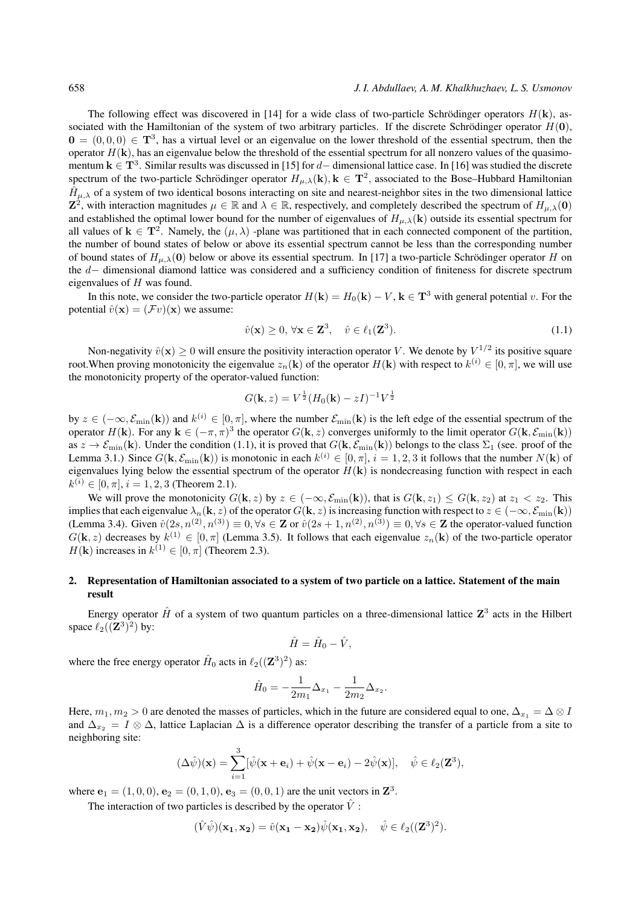The following effect was discovered in [14] for a wide class of two-particle Schrödinger operators  $H(\mathbf{k})$ , associated with the Hamiltonian of the system of two arbitrary particles. If the discrete Schrödinger operator  $H(0)$ ,  $0 = (0, 0, 0) \in \mathbf{T}^3$ , has a virtual level or an eigenvalue on the lower threshold of the essential spectrum, then the operator  $H(\mathbf{k})$ , has an eigenvalue below the threshold of the essential spectrum for all nonzero values of the quasimomentum  $k \in T^3$ . Similar results was discussed in [15] for d– dimensional lattice case. In [16] was studied the discrete spectrum of the two-particle Schrödinger operator  $H_{\mu,\lambda}(\mathbf{k}), \mathbf{k} \in \mathbf{T}^2$ , associated to the Bose–Hubbard Hamiltonian  $\hat{H}_{\mu,\lambda}$  of a system of two identical bosons interacting on site and nearest-neighbor sites in the two dimensional lattice  $\mathbf{Z}^2$ , with interaction magnitudes  $\mu \in \mathbb{R}$  and  $\lambda \in \mathbb{R}$ , respectively, and completely described the spectrum of  $H_{\mu,\lambda}(\mathbf{0})$ and established the optimal lower bound for the number of eigenvalues of  $H_{\mu,\lambda}(\mathbf{k})$  outside its essential spectrum for all values of  $k \in T^2$ . Namely, the  $(\mu, \lambda)$  -plane was partitioned that in each connected component of the partition, the number of bound states of below or above its essential spectrum cannot be less than the corresponding number of bound states of  $H_{\mu,\lambda}(0)$  below or above its essential spectrum. In [17] a two-particle Schrödinger operator H on the d− dimensional diamond lattice was considered and a sufficiency condition of finiteness for discrete spectrum eigenvalues of H was found.

In this note, we consider the two-particle operator  $H(\mathbf{k}) = H_0(\mathbf{k}) - V$ ,  $\mathbf{k} \in \mathbf{T}^3$  with general potential v. For the potential  $\hat{v}(\mathbf{x}) = (\mathcal{F}v)(\mathbf{x})$  we assume:

$$
\hat{v}(\mathbf{x}) \ge 0, \forall \mathbf{x} \in \mathbf{Z}^3, \quad \hat{v} \in \ell_1(\mathbf{Z}^3). \tag{1.1}
$$

Non-negativity  $\hat{v}(\mathbf{x}) \ge 0$  will ensure the positivity interaction operator V. We denote by  $V^{1/2}$  its positive square root. When proving monotonicity the eigenvalue  $z_n(\mathbf{k})$  of the operator  $H(\mathbf{k})$  with respect to  $k^{(i)} \in [0, \pi]$ , we will use the monotonicity property of the operator-valued function:

$$
G(\mathbf{k}, z) = V^{\frac{1}{2}} (H_0(\mathbf{k}) - zI)^{-1} V^{\frac{1}{2}}
$$

by  $z \in (-\infty, \mathcal{E}_{min}(\mathbf{k}))$  and  $k^{(i)} \in [0, \pi]$ , where the number  $\mathcal{E}_{min}(\mathbf{k})$  is the left edge of the essential spectrum of the operator  $H(\mathbf{k})$ . For any  $\mathbf{k} \in (-\pi, \pi)^3$  the operator  $G(\mathbf{k}, z)$  converges uniformly to the limit operator  $G(\mathbf{k}, \mathcal{E}_{\min}(\mathbf{k}))$ as  $z \to \mathcal{E}_{\text{min}}(\mathbf{k})$ . Under the condition (1.1), it is proved that  $G(\mathbf{k}, \mathcal{E}_{\text{min}}(\mathbf{k}))$  belongs to the class  $\Sigma_1$  (see. proof of the Lemma 3.1.) Since  $G(\mathbf{k}, \mathcal{E}_{min}(\mathbf{k}))$  is monotonic in each  $k^{(i)} \in [0, \pi]$ ,  $i = 1, 2, 3$  it follows that the number  $N(\mathbf{k})$  of eigenvalues lying below the essential spectrum of the operator  $H(\mathbf{k})$  is nondecreasing function with respect in each  $k^{(i)} \in [0, \pi], i = 1, 2, 3$  (Theorem 2.1).

We will prove the monotonicity  $G(\mathbf{k}, z)$  by  $z \in (-\infty, \mathcal{E}_{\min}(\mathbf{k}))$ , that is  $G(\mathbf{k}, z_1) \leq G(\mathbf{k}, z_2)$  at  $z_1 < z_2$ . This implies that each eigenvalue  $\lambda_n(\mathbf{k}, z)$  of the operator  $G(\mathbf{k}, z)$  is increasing function with respect to  $z \in (-\infty, \mathcal{E}_{\text{min}}(\mathbf{k}))$ (Lemma 3.4). Given  $\hat{v}(2s, n^{(2)}, n^{(3)}) \equiv 0, \forall s \in \mathbb{Z}$  or  $\hat{v}(2s+1, n^{(2)}, n^{(3)}) \equiv 0, \forall s \in \mathbb{Z}$  the operator-valued function  $G(\mathbf{k}, z)$  decreases by  $k^{(1)} \in [0, \pi]$  (Lemma 3.5). It follows that each eigenvalue  $z_n(\mathbf{k})$  of the two-particle operator  $H(\mathbf{k})$  increases in  $k^{(1)} \in [0, \pi]$  (Theorem 2.3).

# 2. Representation of Hamiltonian associated to a system of two particle on a lattice. Statement of the main result

Energy operator  $\hat{H}$  of a system of two quantum particles on a three-dimensional lattice  $\mathbb{Z}^3$  acts in the Hilbert space  $\ell_2((\mathbf{Z}^3)^2)$  by:

$$
\hat{H} = \hat{H}_0 - \hat{V},
$$

where the free energy operator  $\hat{H}_0$  acts in  $\ell_2((\mathbf{Z}^3)^2)$  as:

$$
\hat{H}_0 = -\frac{1}{2m_1} \Delta_{x_1} - \frac{1}{2m_2} \Delta_{x_2}.
$$

Here,  $m_1, m_2 > 0$  are denoted the masses of particles, which in the future are considered equal to one,  $\Delta_{x_1} = \Delta \otimes I$ and  $\Delta_{x_2} = I \otimes \Delta$ , lattice Laplacian  $\Delta$  is a difference operator describing the transfer of a particle from a site to neighboring site:

$$
(\Delta \hat{\psi})(\mathbf{x}) = \sum_{i=1}^{3} [\hat{\psi}(\mathbf{x} + \mathbf{e}_i) + \hat{\psi}(\mathbf{x} - \mathbf{e}_i) - 2\hat{\psi}(\mathbf{x})], \quad \hat{\psi} \in \ell_2(\mathbf{Z}^3),
$$

where  ${\bf e}_1 = (1, 0, 0), {\bf e}_2 = (0, 1, 0), {\bf e}_3 = (0, 0, 1)$  are the unit vectors in  ${\bf Z}^3$ .

The interaction of two particles is described by the operator  $\hat{V}$ :

$$
(\hat{V}\hat{\psi})(\mathbf{x_1}, \mathbf{x_2}) = \hat{v}(\mathbf{x_1} - \mathbf{x_2})\hat{\psi}(\mathbf{x_1}, \mathbf{x_2}), \quad \hat{\psi} \in \ell_2((\mathbf{Z}^3)^2).
$$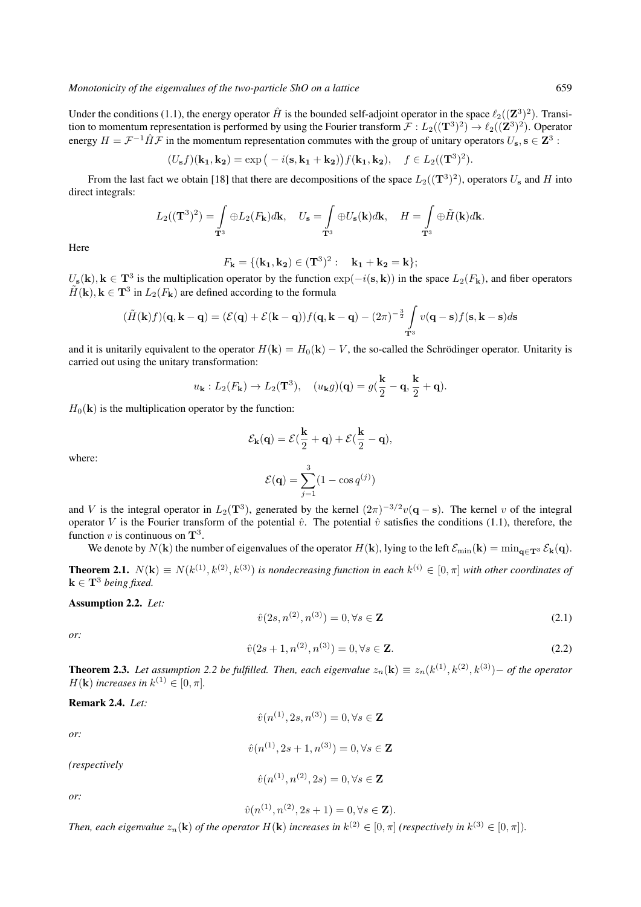Under the conditions (1.1), the energy operator  $\hat{H}$  is the bounded self-adjoint operator in the space  $\ell_2((\mathbf{Z}^3)^2)$ . Transition to momentum representation is performed by using the Fourier transform  $\mathcal{F}: L_2((\mathbf{T}^3)^2)\to \ell_2((\mathbf{Z}^3)^2)$ . Operator energy  $H = \mathcal{F}^{-1} \hat{H} \mathcal{F}$  in the momentum representation commutes with the group of unitary operators  $U_s$ ,  $s \in \mathbb{Z}^3$ :

$$
(U_{\mathbf{s}}f)(\mathbf{k_1}, \mathbf{k_2}) = \exp(-i(\mathbf{s}, \mathbf{k_1} + \mathbf{k_2}))f(\mathbf{k_1}, \mathbf{k_2}), \quad f \in L_2((\mathbf{T}^3)^2).
$$

From the last fact we obtain [18] that there are decompositions of the space  $L_2((\mathbf{T}^3)^2)$ , operators  $U_s$  and H into direct integrals:

$$
L_2((\mathbf{T}^3)^2) = \int_{\mathbf{T}^3} \oplus L_2(F_{\mathbf{k}}) d\mathbf{k}, \quad U_{\mathbf{s}} = \int_{\mathbf{T}^3} \oplus U_{\mathbf{s}}(\mathbf{k}) d\mathbf{k}, \quad H = \int_{\mathbf{T}^3} \oplus \tilde{H}(\mathbf{k}) d\mathbf{k}.
$$

Here

$$
F_{\mathbf{k}} = \{ (\mathbf{k_1}, \mathbf{k_2}) \in (\mathbf{T}^3)^2 : \quad \mathbf{k_1} + \mathbf{k_2} = \mathbf{k} \};
$$

 $U_s(\mathbf{k})$ ,  $\mathbf{k} \in \mathbf{T}^3$  is the multiplication operator by the function  $\exp(-i(\mathbf{s}, \mathbf{k}))$  in the space  $L_2(F_{\mathbf{k}})$ , and fiber operators  $\tilde{H}(\mathbf{k}), \mathbf{k} \in \mathbf{T}^3$  in  $L_2(F_{\mathbf{k}})$  are defined according to the formula

$$
(\tilde{H}(\mathbf{k})f)(\mathbf{q}, \mathbf{k} - \mathbf{q}) = (\mathcal{E}(\mathbf{q}) + \mathcal{E}(\mathbf{k} - \mathbf{q}))f(\mathbf{q}, \mathbf{k} - \mathbf{q}) - (2\pi)^{-\frac{3}{2}} \int_{\mathbf{T}^3} v(\mathbf{q} - \mathbf{s})f(\mathbf{s}, \mathbf{k} - \mathbf{s})d\mathbf{s}
$$

and it is unitarily equivalent to the operator  $H(\mathbf{k}) = H_0(\mathbf{k}) - V$ , the so-called the Schrödinger operator. Unitarity is carried out using the unitary transformation:

$$
u_{\mathbf{k}}: L_2(F_{\mathbf{k}}) \to L_2(\mathbf{T}^3), \quad (u_{\mathbf{k}}g)(\mathbf{q}) = g(\frac{\mathbf{k}}{2} - \mathbf{q}, \frac{\mathbf{k}}{2} + \mathbf{q}).
$$

 $H_0(\mathbf{k})$  is the multiplication operator by the function:

$$
\mathcal{E}_{\mathbf{k}}(\mathbf{q}) = \mathcal{E}(\frac{\mathbf{k}}{2} + \mathbf{q}) + \mathcal{E}(\frac{\mathbf{k}}{2} - \mathbf{q}),
$$

where:

$$
\mathcal{E}(\mathbf{q}) = \sum_{j=1}^{3} (1 - \cos q^{(j)})
$$

and V is the integral operator in  $L_2(\mathbf{T}^3)$ , generated by the kernel  $(2\pi)^{-3/2}v(\mathbf{q}-\mathbf{s})$ . The kernel v of the integral operator V is the Fourier transform of the potential  $\hat{v}$ . The potential  $\hat{v}$  satisfies the conditions (1.1), therefore, the function  $v$  is continuous on  $\mathbf{T}^3$ .

We denote by  $N(\mathbf{k})$  the number of eigenvalues of the operator  $H(\mathbf{k})$ , lying to the left  $\mathcal{E}_{\min}(\mathbf{k}) = \min_{\mathbf{q} \in \mathbf{T}^3} \mathcal{E}_{\mathbf{k}}(\mathbf{q})$ .

**Theorem 2.1.**  $N(\mathbf{k}) \equiv N(k^{(1)}, k^{(2)}, k^{(3)})$  is nondecreasing function in each  $k^{(i)} \in [0, \pi]$  with other coordinates of  $k \in T^3$  *being fixed.* 

Assumption 2.2. *Let:*

$$
\hat{v}(2s, n^{(2)}, n^{(3)}) = 0, \forall s \in \mathbb{Z} \tag{2.1}
$$

*or:*

$$
\hat{v}(2s+1, n^{(2)}, n^{(3)}) = 0, \forall s \in \mathbf{Z}.
$$
\n(2.2)

**Theorem 2.3.** Let assumption 2.2 be fulfilled. Then, each eigenvalue  $z_n(\mathbf{k}) \equiv z_n(k^{(1)}, k^{(2)}, k^{(3)})$  – of the operator  $H(\mathbf{k})$  *increases in*  $k^{(1)} \in [0, \pi]$ *.* 

# Remark 2.4. *Let:*

$$
\hat{v}(n^{(1)}, 2s, n^{(3)}) = 0, \forall s \in \mathbf{Z}
$$

 $\hat{v}(n^{(1)}, 2s+1, n^{(3)}) = 0, \forall s \in \mathbb{Z}$ 

*(respectively*

$$
\hat{v}(n^{(1)}, n^{(2)}, 2s) = 0, \forall s \in \mathbf{Z}
$$

*or:*

*or:*

 $\hat{v}(n^{(1)}, n^{(2)}, 2s + 1) = 0, \forall s \in \mathbb{Z}$ ).

Then, each eigenvalue  $z_n(\mathbf{k})$  of the operator  $H(\mathbf{k})$  increases in  $k^{(2)} \in [0, \pi]$  (respectively in  $k^{(3)} \in [0, \pi]$ ).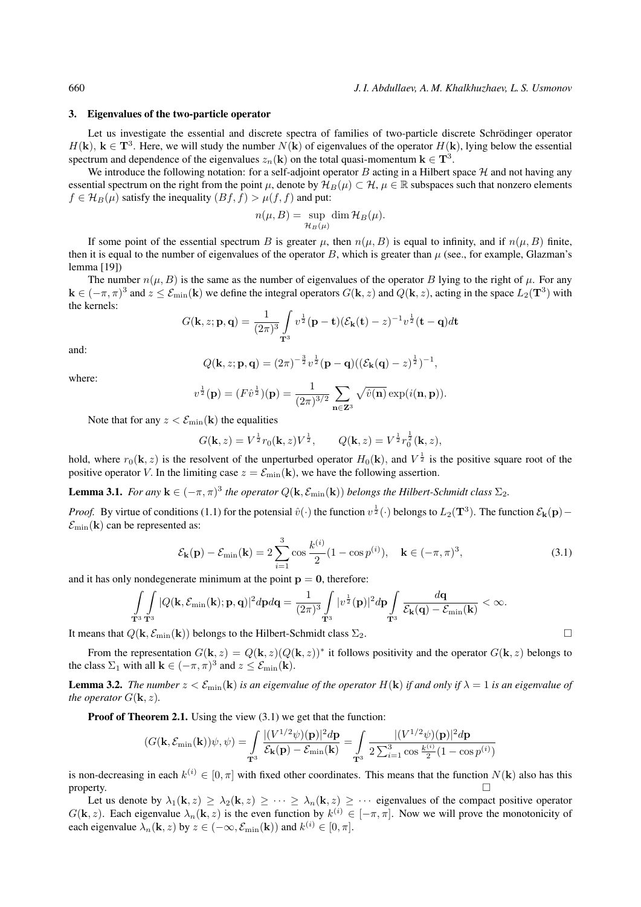## 3. Eigenvalues of the two-particle operator

Let us investigate the essential and discrete spectra of families of two-particle discrete Schrödinger operator  $H(\mathbf{k})$ ,  $\mathbf{k} \in \mathbf{T}^3$ . Here, we will study the number  $N(\mathbf{k})$  of eigenvalues of the operator  $H(\mathbf{k})$ , lying below the essential spectrum and dependence of the eigenvalues  $z_n(\mathbf{k})$  on the total quasi-momentum  $\mathbf{k} \in \mathbf{T}^3$ .

We introduce the following notation: for a self-adjoint operator B acting in a Hilbert space  $H$  and not having any essential spectrum on the right from the point  $\mu$ , denote by  $\mathcal{H}_B(\mu) \subset \mathcal{H}, \mu \in \mathbb{R}$  subspaces such that nonzero elements  $f \in \mathcal{H}_B(\mu)$  satisfy the inequality  $(Bf, f) > \mu(f, f)$  and put:

$$
n(\mu, B) = \sup_{\mathcal{H}_B(\mu)} \dim \mathcal{H}_B(\mu).
$$

If some point of the essential spectrum B is greater  $\mu$ , then  $n(\mu, B)$  is equal to infinity, and if  $n(\mu, B)$  finite, then it is equal to the number of eigenvalues of the operator B, which is greater than  $\mu$  (see., for example, Glazman's lemma [19])

The number  $n(\mu, B)$  is the same as the number of eigenvalues of the operator B lying to the right of  $\mu$ . For any  $\mathbf{k} \in (-\pi, \pi)^3$  and  $z \leq \mathcal{E}_{\text{min}}(\mathbf{k})$  we define the integral operators  $G(\mathbf{k}, z)$  and  $Q(\mathbf{k}, z)$ , acting in the space  $L_2(\mathbf{T}^3)$  with the kernels:

$$
G(\mathbf{k}, z; \mathbf{p}, \mathbf{q}) = \frac{1}{(2\pi)^3} \int_{\mathbf{T}^3} v^{\frac{1}{2}} (\mathbf{p} - \mathbf{t}) (\mathcal{E}_{\mathbf{k}}(\mathbf{t}) - z)^{-1} v^{\frac{1}{2}} (\mathbf{t} - \mathbf{q}) d\mathbf{t}
$$

and:

$$
Q(\mathbf{k}, z; \mathbf{p}, \mathbf{q}) = (2\pi)^{-\frac{3}{2}} v^{\frac{1}{2}} (\mathbf{p} - \mathbf{q}) ((\mathcal{E}_{\mathbf{k}}(\mathbf{q}) - z)^{\frac{1}{2}})^{-1},
$$

where:

$$
v^{\frac{1}{2}}(\mathbf{p}) = (F\hat{v}^{\frac{1}{2}})(\mathbf{p}) = \frac{1}{(2\pi)^{3/2}} \sum_{\mathbf{n}\in\mathbf{Z}^3} \sqrt{\hat{v}(\mathbf{n})} \exp(i(\mathbf{n}, \mathbf{p})).
$$

Note that for any  $z < \mathcal{E}_{\text{min}}(\mathbf{k})$  the equalities

$$
G(\mathbf{k},z) = V^{\frac{1}{2}} r_0(\mathbf{k},z) V^{\frac{1}{2}}, \qquad Q(\mathbf{k},z) = V^{\frac{1}{2}} r_0^{\frac{1}{2}}(\mathbf{k},z),
$$

hold, where  $r_0(\mathbf{k}, z)$  is the resolvent of the unperturbed operator  $H_0(\mathbf{k})$ , and  $V^{\frac{1}{2}}$  is the positive square root of the positive operator V. In the limiting case  $z = \mathcal{E}_{\text{min}}(\mathbf{k})$ , we have the following assertion.

**Lemma 3.1.** For any  $\mathbf{k} \in (-\pi, \pi)^3$  the operator  $Q(\mathbf{k}, \mathcal{E}_{\min}(\mathbf{k}))$  belongs the Hilbert-Schmidt class  $\Sigma_2$ .

*Proof.* By virtue of conditions (1.1) for the potensial  $\hat{v}(\cdot)$  the function  $v^{\frac{1}{2}}(\cdot)$  belongs to  $L_2(\mathbf{T}^3)$ . The function  $\mathcal{E}_k(\mathbf{p})$  –  $\mathcal{E}_{\text{min}}(\mathbf{k})$  can be represented as:

$$
\mathcal{E}_{\mathbf{k}}(\mathbf{p}) - \mathcal{E}_{\min}(\mathbf{k}) = 2 \sum_{i=1}^{3} \cos \frac{k^{(i)}}{2} (1 - \cos p^{(i)}), \quad \mathbf{k} \in (-\pi, \pi)^{3}, \tag{3.1}
$$

and it has only nondegenerate minimum at the point  $p = 0$ , therefore:

$$
\int_{\mathbf{T}^3}\int_{\mathbf{T}^3} |Q(\mathbf{k},\mathcal{E}_{\min}(\mathbf{k});\mathbf{p},\mathbf{q})|^2 d\mathbf{p} d\mathbf{q} = \frac{1}{(2\pi)^3}\int_{\mathbf{T}^3}|v^{\frac{1}{2}}(\mathbf{p})|^2 d\mathbf{p}\int_{\mathbf{T}^3}\frac{d\mathbf{q}}{\mathcal{E}_{\mathbf{k}}(\mathbf{q})-\mathcal{E}_{\min}(\mathbf{k})} < \infty.
$$

It means that  $Q(\mathbf{k}, \mathcal{E}_{\text{min}}(\mathbf{k}))$  belongs to the Hilbert-Schmidt class  $\Sigma_2$ .

From the representation  $G(\mathbf{k}, z) = Q(\mathbf{k}, z) (Q(\mathbf{k}, z))^*$  it follows positivity and the operator  $G(\mathbf{k}, z)$  belongs to the class  $\Sigma_1$  with all  $\mathbf{k} \in (-\pi, \pi)^3$  and  $z \leq \mathcal{E}_{\min}(\mathbf{k})$ .

**Lemma 3.2.** *The number*  $z < \mathcal{E}_{min}(\mathbf{k})$  *is an eigenvalue of the operator*  $H(\mathbf{k})$  *if and only if*  $\lambda = 1$  *is an eigenvalue of the operator*  $G(\mathbf{k}, z)$ *.* 

**Proof of Theorem 2.1.** Using the view  $(3.1)$  we get that the function:

$$
(G(\mathbf{k},\mathcal{E}_{\min}(\mathbf{k}))\psi,\psi) = \int_{\mathbf{T}^3} \frac{|(V^{1/2}\psi)(\mathbf{p})|^2 d\mathbf{p}}{\mathcal{E}_{\mathbf{k}}(\mathbf{p}) - \mathcal{E}_{\min}(\mathbf{k})} = \int_{\mathbf{T}^3} \frac{|(V^{1/2}\psi)(\mathbf{p})|^2 d\mathbf{p}}{2\sum_{i=1}^3 \cos \frac{k^{(i)}}{2} (1 - \cos p^{(i)})}
$$

is non-decreasing in each  $k^{(i)} \in [0, \pi]$  with fixed other coordinates. This means that the function  $N(\bf{k})$  also has this property.  $\Box$ 

Let us denote by  $\lambda_1(\mathbf{k}, z) \geq \lambda_2(\mathbf{k}, z) \geq \cdots \geq \lambda_n(\mathbf{k}, z) \geq \cdots$  eigenvalues of the compact positive operator  $G(\mathbf{k}, z)$ . Each eigenvalue  $\lambda_n(\mathbf{k}, z)$  is the even function by  $k^{(i)} \in [-\pi, \pi]$ . Now we will prove the monotonicity of each eigenvalue  $\lambda_n(\mathbf{k}, z)$  by  $z \in (-\infty, \mathcal{E}_{\min}(\mathbf{k}))$  and  $k^{(i)} \in [0, \pi]$ .

$$
\Box
$$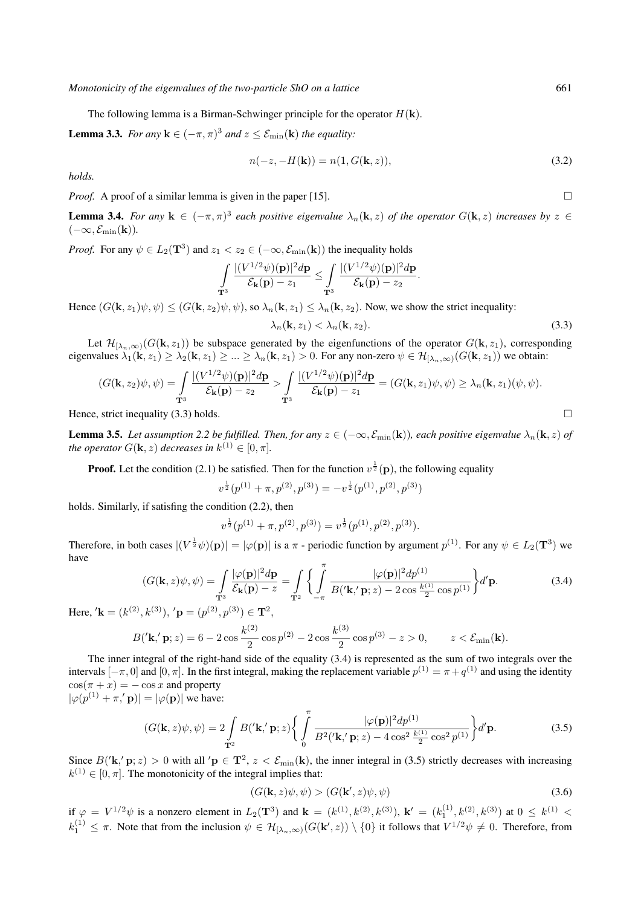The following lemma is a Birman-Schwinger principle for the operator  $H(\mathbf{k})$ .

**Lemma 3.3.** *For any*  $\mathbf{k} \in (-\pi, \pi)^3$  *and*  $z \leq \mathcal{E}_{\min}(\mathbf{k})$  *the equality:* 

$$
n(-z, -H(\mathbf{k})) = n(1, G(\mathbf{k}, z)),
$$
\n(3.2)

*holds.*

*Proof.* A proof of a similar lemma is given in the paper [15].

**Lemma 3.4.** For any  $\mathbf{k} \in (-\pi, \pi)^3$  each positive eigenvalue  $\lambda_n(\mathbf{k}, z)$  of the operator  $G(\mathbf{k}, z)$  increases by  $z \in$  $(-\infty, \mathcal{E}_{\min}(\mathbf{k})).$ 

*Proof.* For any  $\psi \in L_2(\mathbf{T}^3)$  and  $z_1 < z_2 \in (-\infty, \mathcal{E}_{\min}(\mathbf{k}))$  the inequality holds

$$
\int\limits_{{\mathbf{T}}^3} \frac{|(V^{1/2}\psi)({\mathbf{p}})|^2 d{\mathbf{p}}}{\mathcal{E}_{{\mathbf{k}}}({\mathbf{p}})-z_1}\leq \int\limits_{{\mathbf{T}}^3} \frac{|(V^{1/2}\psi)({\mathbf{p}})|^2 d{\mathbf{p}}}{\mathcal{E}_{{\mathbf{k}}}({\mathbf{p}})-z_2}.
$$

Hence  $(G(\mathbf{k}, z_1)\psi, \psi) \leq (G(\mathbf{k}, z_2)\psi, \psi)$ , so  $\lambda_n(\mathbf{k}, z_1) \leq \lambda_n(\mathbf{k}, z_2)$ . Now, we show the strict inequality:

$$
\lambda_n(\mathbf{k}, z_1) < \lambda_n(\mathbf{k}, z_2). \tag{3.3}
$$

Let  $\mathcal{H}_{[\lambda_n,\infty)}(G(\mathbf{k},z_1))$  be subspace generated by the eigenfunctions of the operator  $G(\mathbf{k},z_1)$ , corresponding eigenvalues  $\lambda_1(\mathbf{k}, z_1) \geq \lambda_2(\mathbf{k}, z_1) \geq \ldots \geq \lambda_n(\mathbf{k}, z_1) > 0$ . For any non-zero  $\psi \in \mathcal{H}_{[\lambda_n,\infty)}(G(\mathbf{k}, z_1))$  we obtain:

$$
(G(\mathbf{k}, z_2)\psi, \psi) = \int_{\mathbf{T}^3} \frac{|(V^{1/2}\psi)(\mathbf{p})|^2 d\mathbf{p}}{\mathcal{E}_{\mathbf{k}}(\mathbf{p}) - z_2} > \int_{\mathbf{T}^3} \frac{|(V^{1/2}\psi)(\mathbf{p})|^2 d\mathbf{p}}{\mathcal{E}_{\mathbf{k}}(\mathbf{p}) - z_1} = (G(\mathbf{k}, z_1)\psi, \psi) \ge \lambda_n(\mathbf{k}, z_1)(\psi, \psi).
$$
  
Hence, strict inequality (3.3) holds.

**Lemma 3.5.** Let assumption 2.2 be fulfilled. Then, for any  $z \in (-\infty, \mathcal{E}_{\min}(\mathbf{k}))$ , each positive eigenvalue  $\lambda_n(\mathbf{k}, z)$  of *the operator*  $G(\mathbf{k}, z)$  *decreases in*  $k^{(1)} \in [0, \pi]$ *.* 

**Proof.** Let the condition (2.1) be satisfied. Then for the function  $v^{\frac{1}{2}}(\mathbf{p})$ , the following equality

$$
v^{\frac{1}{2}}(p^{(1)} + \pi, p^{(2)}, p^{(3)}) = -v^{\frac{1}{2}}(p^{(1)}, p^{(2)}, p^{(3)})
$$

holds. Similarly, if satisfing the condition (2.2), then

$$
v^{\frac{1}{2}}(p^{(1)} + \pi, p^{(2)}, p^{(3)}) = v^{\frac{1}{2}}(p^{(1)}, p^{(2)}, p^{(3)}).
$$

Therefore, in both cases  $|(V^{\frac{1}{2}}\psi)(\mathbf{p})| = |\varphi(\mathbf{p})|$  is a  $\pi$  - periodic function by argument  $p^{(1)}$ . For any  $\psi \in L_2(\mathbf{T}^3)$  we have

$$
(G(\mathbf{k},z)\psi,\psi) = \int_{\mathbf{T}^3} \frac{|\varphi(\mathbf{p})|^2 d\mathbf{p}}{\mathcal{E}_{\mathbf{k}}(\mathbf{p}) - z} = \int_{\mathbf{T}^2} \left\{ \int_{-\pi}^{\pi} \frac{|\varphi(\mathbf{p})|^2 d\mathbf{p}^{(1)}}{B(\mathbf{k}, \mathbf{p}; z) - 2\cos\frac{k^{(1)}}{2}\cos\mathbf{p}^{(1)}} \right\} d' \mathbf{p}.
$$
 (3.4)

Here,  $'\mathbf{k} = (k^{(2)}, k^{(3)})$ ,  $'\mathbf{p} = (p^{(2)}, p^{(3)}) \in \mathbf{T}^2$ ,

$$
B'(\mathbf{k}, \mathbf{p}; z) = 6 - 2\cos\frac{k^{(2)}}{2}\cos p^{(2)} - 2\cos\frac{k^{(3)}}{2}\cos p^{(3)} - z > 0, \qquad z < \mathcal{E}_{\min}(\mathbf{k}).
$$

The inner integral of the right-hand side of the equality (3.4) is represented as the sum of two integrals over the intervals  $[-\pi, 0]$  and  $[0, \pi]$ . In the first integral, making the replacement variable  $p^{(1)} = \pi + q^{(1)}$  and using the identity  $\cos(\pi + x) = -\cos x$  and property  $|\varphi(p^{(1)} + \pi, \mathbf{p})| = |\varphi(\mathbf{p})|$  we have:

$$
(G(\mathbf{k},z)\psi,\psi) = 2\int\limits_{\mathbf{T}^2} B(\mathbf{k},\mathbf{p};z) \left\{ \int\limits_0^{\pi} \frac{|\varphi(\mathbf{p})|^2 dp^{(1)}}{B^2(\mathbf{k},\mathbf{p};z) - 4\cos^2\frac{k^{(1)}}{2}\cos^2 p^{(1)}} \right\} d'\mathbf{p}.
$$
 (3.5)

Since  $B('k', p; z) > 0$  with all ' $p \in T^2$ ,  $z < \mathcal{E}_{min}(k)$ , the inner integral in (3.5) strictly decreases with increasing  $k^{(1)} \in [0, \pi]$ . The monotonicity of the integral implies that:

$$
(G(\mathbf{k}, z)\psi, \psi) > (G(\mathbf{k}', z)\psi, \psi)
$$
\n(3.6)

if  $\varphi = V^{1/2}\psi$  is a nonzero element in  $L_2(\mathbf{T}^3)$  and  $\mathbf{k} = (k^{(1)}, k^{(2)}, k^{(3)})$ ,  $\mathbf{k}' = (k_1^{(1)}, k^{(2)}, k^{(3)})$  at  $0 \leq k^{(1)} <$  $k_1^{(1)} \leq \pi$ . Note that from the inclusion  $\psi \in \mathcal{H}_{\lbrack \lambda_n,\infty)}(G(\mathbf{k}',z)) \setminus \{0\}$  it follows that  $V^{1/2}\psi \neq 0$ . Therefore, from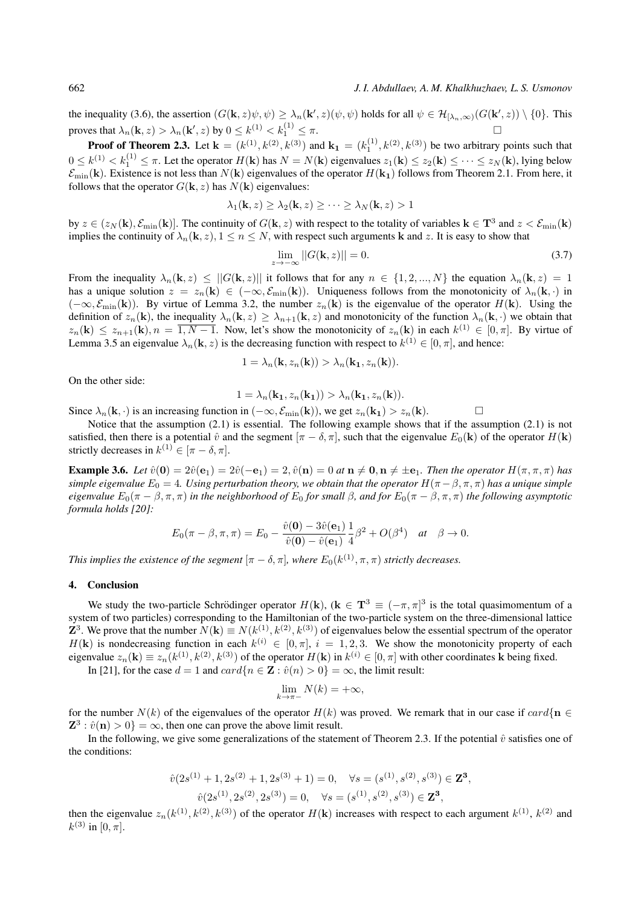the inequality (3.6), the assertion  $(G(\mathbf{k}, z)\psi, \psi) \geq \lambda_n(\mathbf{k}', z)(\psi, \psi)$  holds for all  $\psi \in \mathcal{H}_{[\lambda_n,\infty)}(G(\mathbf{k}', z)) \setminus \{0\}$ . This proves that  $\lambda_n(\mathbf{k}, z) > \lambda_n(\mathbf{k}', z)$  by  $0 \leq k^{(1)} < k_1^{(1)}$  $\tau_1^{(1)} \leq \pi.$ 

**Proof of Theorem 2.3.** Let  $\mathbf{k} = (k^{(1)}, k^{(2)}, k^{(3)})$  and  $\mathbf{k_1} = (k_1^{(1)}, k^{(2)}, k^{(3)})$  be two arbitrary points such that  $0 \le k^{(1)} < k_1^{(1)} \le \pi$ . Let the operator  $H(\mathbf{k})$  has  $N = N(\mathbf{k})$  eigenvalues  $z_1(\mathbf{k}) \le z_2(\mathbf{k}) \le \cdots \le z_N(\mathbf{k})$ , lying below  $\mathcal{E}_{\text{min}}(\mathbf{k})$ . Existence is not less than  $N(\mathbf{k})$  eigenvalues of the operator  $H(\mathbf{k}_1)$  follows from Theorem 2.1. From here, it follows that the operator  $G(\mathbf{k}, z)$  has  $N(\mathbf{k})$  eigenvalues:

$$
\lambda_1(\mathbf{k}, z) \ge \lambda_2(\mathbf{k}, z) \ge \cdots \ge \lambda_N(\mathbf{k}, z) > 1
$$

by  $z \in (z_N(\mathbf{k}), \mathcal{E}_{\min}(\mathbf{k})]$ . The continuity of  $G(\mathbf{k}, z)$  with respect to the totality of variables  $\mathbf{k} \in \mathbf{T}^3$  and  $z < \mathcal{E}_{\min}(\mathbf{k})$ implies the continuity of  $\lambda_n(\mathbf{k}, z)$ ,  $1 \le n \le N$ , with respect such arguments **k** and z. It is easy to show that

$$
\lim_{z \to -\infty} ||G(\mathbf{k}, z)|| = 0. \tag{3.7}
$$

From the inequality  $\lambda_n(\mathbf{k}, z) \leq ||G(\mathbf{k}, z)||$  it follows that for any  $n \in \{1, 2, ..., N\}$  the equation  $\lambda_n(\mathbf{k}, z) = 1$ has a unique solution  $z = z_n(\mathbf{k}) \in (-\infty, \mathcal{E}_{\min}(\mathbf{k}))$ . Uniqueness follows from the monotonicity of  $\lambda_n(\mathbf{k}, \cdot)$  in  $(-\infty, \mathcal{E}_{\text{min}}(\mathbf{k}))$ . By virtue of Lemma 3.2, the number  $z_n(\mathbf{k})$  is the eigenvalue of the operator  $H(\mathbf{k})$ . Using the definition of  $z_n(\mathbf{k})$ , the inequality  $\lambda_n(\mathbf{k}, z) \geq \lambda_{n+1}(\mathbf{k}, z)$  and monotonicity of the function  $\lambda_n(\mathbf{k}, \cdot)$  we obtain that  $z_n(\mathbf{k}) \leq z_{n+1}(\mathbf{k}), n = \overline{1, N-1}$ . Now, let's show the monotonicity of  $z_n(\mathbf{k})$  in each  $k^{(1)} \in [0, \pi]$ . By virtue of Lemma 3.5 an eigenvalue  $\lambda_n(\mathbf{k}, z)$  is the decreasing function with respect to  $k^{(1)} \in [0, \pi]$ , and hence:

$$
1 = \lambda_n(\mathbf{k}, z_n(\mathbf{k})) > \lambda_n(\mathbf{k}_1, z_n(\mathbf{k})).
$$

On the other side:

$$
1 = \lambda_n(\mathbf{k_1}, z_n(\mathbf{k_1})) > \lambda_n(\mathbf{k_1}, z_n(\mathbf{k})).
$$

Since  $\lambda_n(\mathbf{k}, \cdot)$  is an increasing function in  $(-\infty, \mathcal{E}_{\min}(\mathbf{k}))$ , we get  $z_n(\mathbf{k}_1) > z_n(\mathbf{k})$ .

Notice that the assumption (2.1) is essential. The following example shows that if the assumption (2.1) is not satisfied, then there is a potential  $\hat{v}$  and the segment  $[\pi - \delta, \pi]$ , such that the eigenvalue  $E_0(\mathbf{k})$  of the operator  $H(\mathbf{k})$ strictly decreases in  $k^{(1)} \in [\pi - \delta, \pi]$ .

**Example 3.6.** *Let*  $\hat{v}(\mathbf{0}) = 2\hat{v}(\mathbf{e}_1) = 2\hat{v}(-\mathbf{e}_1) = 2$ ,  $\hat{v}(\mathbf{n}) = 0$  *at*  $\mathbf{n} \neq \mathbf{0}$ ,  $\mathbf{n} \neq \pm \mathbf{e}_1$ . *Then the operator*  $H(\pi, \pi, \pi)$  *has simple eigenvalue*  $E_0 = 4$ *. Using perturbation theory, we obtain that the operator*  $H(\pi - \beta, \pi, \pi)$  *has a unique simple eigenvalue*  $E_0(\pi - \beta, \pi, \pi)$  *in the neighborhood of*  $E_0$  *for small*  $\beta$ *, and for*  $E_0(\pi - \beta, \pi, \pi)$  *the following asymptotic formula holds [20]:*

$$
E_0(\pi-\beta,\pi,\pi)=E_0-\frac{\hat{v}(\mathbf{0})-3\hat{v}(\mathbf{e}_1)}{\hat{v}(\mathbf{0})-\hat{v}(\mathbf{e}_1)}\frac{1}{4}\beta^2+O(\beta^4)\quad at\quad \beta\to 0.
$$

*This implies the existence of the segment*  $[\pi - \delta, \pi]$ , where  $E_0(k^{(1)}, \pi, \pi)$  *strictly decreases.* 

## 4. Conclusion

We study the two-particle Schrödinger operator  $H(\mathbf{k})$ ,  $(\mathbf{k} \in \mathbf{T}^3 \equiv (-\pi, \pi]^3$  is the total quasimomentum of a system of two particles) corresponding to the Hamiltonian of the two-particle system on the three-dimensional lattice **Z**<sup>3</sup>. We prove that the number  $N(\mathbf{k}) \equiv N(k^{(1)}, k^{(2)}, k^{(3)})$  of eigenvalues below the essential spectrum of the operator  $H(\mathbf{k})$  is nondecreasing function in each  $k^{(i)} \in [0, \pi]$ ,  $i = 1, 2, 3$ . We show the monotonicity property of each eigenvalue  $z_n(\mathbf{k}) \equiv z_n(k^{(1)}, k^{(2)}, k^{(3)})$  of the operator  $H(\mathbf{k})$  in  $k^{(i)} \in [0, \pi]$  with other coordinates k being fixed. In [21], for the case  $d = 1$  and  $card\{n \in \mathbf{Z} : \hat{v}(n) > 0\} = \infty$ , the limit result:

$$
\lim_{k \to \pi-} N(k) = +\infty,
$$

for the number  $N(k)$  of the eigenvalues of the operator  $H(k)$  was proved. We remark that in our case if  $card\{\mathbf{n} \in$  $\mathbf{Z}^3$ :  $\hat{v}(\mathbf{n}) > 0$ } =  $\infty$ , then one can prove the above limit result.

In the following, we give some generalizations of the statement of Theorem 2.3. If the potential  $\hat{v}$  satisfies one of the conditions:

$$
\hat{v}(2s^{(1)} + 1, 2s^{(2)} + 1, 2s^{(3)} + 1) = 0, \quad \forall s = (s^{(1)}, s^{(2)}, s^{(3)}) \in \mathbf{Z}^3,
$$

$$
\hat{v}(2s^{(1)}, 2s^{(2)}, 2s^{(3)}) = 0, \quad \forall s = (s^{(1)}, s^{(2)}, s^{(3)}) \in \mathbf{Z}^3,
$$

then the eigenvalue  $z_n(k^{(1)}, k^{(2)}, k^{(3)})$  of the operator  $H(k)$  increases with respect to each argument  $k^{(1)}$ ,  $k^{(2)}$  and  $k^{(3)}$  in [0,  $\pi$ ].